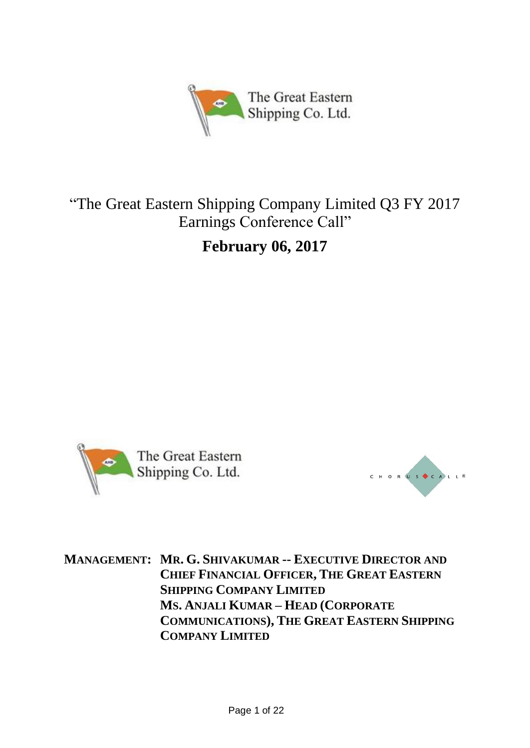

# "The Great Eastern Shipping Company Limited Q3 FY 2017 Earnings Conference Call"

**February 06, 2017**





**MANAGEMENT: MR. G. SHIVAKUMAR -- EXECUTIVE DIRECTOR AND CHIEF FINANCIAL OFFICER, THE GREAT EASTERN SHIPPING COMPANY LIMITED MS. ANJALI KUMAR – HEAD (CORPORATE COMMUNICATIONS), THE GREAT EASTERN SHIPPING COMPANY LIMITED**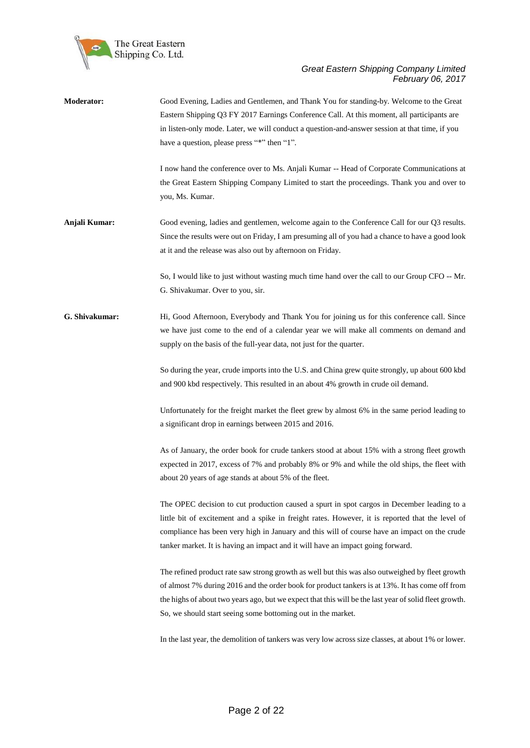

| Moderator:     | Good Evening, Ladies and Gentlemen, and Thank You for standing-by. Welcome to the Great<br>Eastern Shipping Q3 FY 2017 Earnings Conference Call. At this moment, all participants are<br>in listen-only mode. Later, we will conduct a question-and-answer session at that time, if you<br>have a question, please press "*" then "1".                                            |
|----------------|-----------------------------------------------------------------------------------------------------------------------------------------------------------------------------------------------------------------------------------------------------------------------------------------------------------------------------------------------------------------------------------|
|                | I now hand the conference over to Ms. Anjali Kumar -- Head of Corporate Communications at<br>the Great Eastern Shipping Company Limited to start the proceedings. Thank you and over to<br>you, Ms. Kumar.                                                                                                                                                                        |
| Anjali Kumar:  | Good evening, ladies and gentlemen, welcome again to the Conference Call for our Q3 results.<br>Since the results were out on Friday, I am presuming all of you had a chance to have a good look<br>at it and the release was also out by afternoon on Friday.                                                                                                                    |
|                | So, I would like to just without wasting much time hand over the call to our Group CFO -- Mr.<br>G. Shivakumar. Over to you, sir.                                                                                                                                                                                                                                                 |
| G. Shivakumar: | Hi, Good Afternoon, Everybody and Thank You for joining us for this conference call. Since<br>we have just come to the end of a calendar year we will make all comments on demand and<br>supply on the basis of the full-year data, not just for the quarter.                                                                                                                     |
|                | So during the year, crude imports into the U.S. and China grew quite strongly, up about 600 kbd<br>and 900 kbd respectively. This resulted in an about 4% growth in crude oil demand.                                                                                                                                                                                             |
|                | Unfortunately for the freight market the fleet grew by almost 6% in the same period leading to<br>a significant drop in earnings between 2015 and 2016.                                                                                                                                                                                                                           |
|                | As of January, the order book for crude tankers stood at about 15% with a strong fleet growth<br>expected in 2017, excess of 7% and probably 8% or 9% and while the old ships, the fleet with<br>about 20 years of age stands at about 5% of the fleet.                                                                                                                           |
|                | The OPEC decision to cut production caused a spurt in spot cargos in December leading to a<br>little bit of excitement and a spike in freight rates. However, it is reported that the level of<br>compliance has been very high in January and this will of course have an impact on the crude<br>tanker market. It is having an impact and it will have an impact going forward. |
|                | The refined product rate saw strong growth as well but this was also outweighed by fleet growth<br>of almost 7% during 2016 and the order book for product tankers is at 13%. It has come off from<br>the highs of about two years ago, but we expect that this will be the last year of solid fleet growth.<br>So, we should start seeing some bottoming out in the market.      |
|                | In the last year, the demolition of tankers was very low across size classes, at about 1% or lower.                                                                                                                                                                                                                                                                               |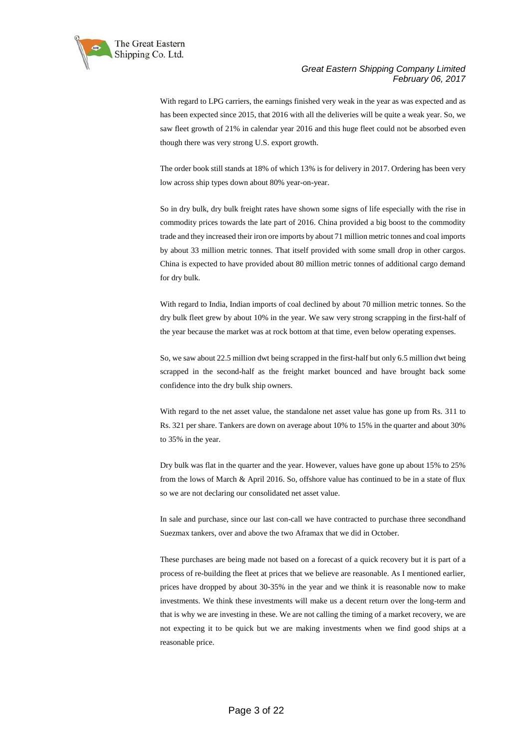

With regard to LPG carriers, the earnings finished very weak in the year as was expected and as has been expected since 2015, that 2016 with all the deliveries will be quite a weak year. So, we saw fleet growth of 21% in calendar year 2016 and this huge fleet could not be absorbed even though there was very strong U.S. export growth.

The order book still stands at 18% of which 13% is for delivery in 2017. Ordering has been very low across ship types down about 80% year-on-year.

So in dry bulk, dry bulk freight rates have shown some signs of life especially with the rise in commodity prices towards the late part of 2016. China provided a big boost to the commodity trade and they increased their iron ore imports by about 71 million metric tonnes and coal imports by about 33 million metric tonnes. That itself provided with some small drop in other cargos. China is expected to have provided about 80 million metric tonnes of additional cargo demand for dry bulk.

With regard to India, Indian imports of coal declined by about 70 million metric tonnes. So the dry bulk fleet grew by about 10% in the year. We saw very strong scrapping in the first-half of the year because the market was at rock bottom at that time, even below operating expenses.

So, we saw about 22.5 million dwt being scrapped in the first-half but only 6.5 million dwt being scrapped in the second-half as the freight market bounced and have brought back some confidence into the dry bulk ship owners.

With regard to the net asset value, the standalone net asset value has gone up from Rs. 311 to Rs. 321 per share. Tankers are down on average about 10% to 15% in the quarter and about 30% to 35% in the year.

Dry bulk was flat in the quarter and the year. However, values have gone up about 15% to 25% from the lows of March & April 2016. So, offshore value has continued to be in a state of flux so we are not declaring our consolidated net asset value.

In sale and purchase, since our last con-call we have contracted to purchase three secondhand Suezmax tankers, over and above the two Aframax that we did in October.

These purchases are being made not based on a forecast of a quick recovery but it is part of a process of re-building the fleet at prices that we believe are reasonable. As I mentioned earlier, prices have dropped by about 30-35% in the year and we think it is reasonable now to make investments. We think these investments will make us a decent return over the long-term and that is why we are investing in these. We are not calling the timing of a market recovery, we are not expecting it to be quick but we are making investments when we find good ships at a reasonable price.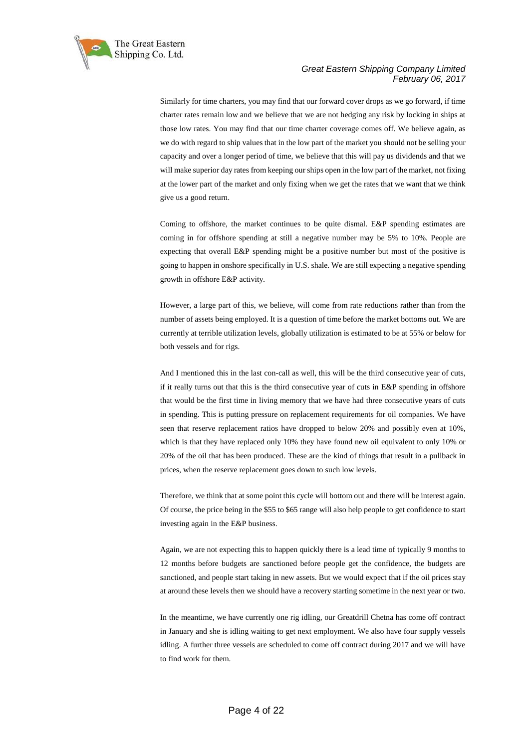

Similarly for time charters, you may find that our forward cover drops as we go forward, if time charter rates remain low and we believe that we are not hedging any risk by locking in ships at those low rates. You may find that our time charter coverage comes off. We believe again, as we do with regard to ship values that in the low part of the market you should not be selling your capacity and over a longer period of time, we believe that this will pay us dividends and that we will make superior day rates from keeping our ships open in the low part of the market, not fixing at the lower part of the market and only fixing when we get the rates that we want that we think give us a good return.

Coming to offshore, the market continues to be quite dismal. E&P spending estimates are coming in for offshore spending at still a negative number may be 5% to 10%. People are expecting that overall E&P spending might be a positive number but most of the positive is going to happen in onshore specifically in U.S. shale. We are still expecting a negative spending growth in offshore E&P activity.

However, a large part of this, we believe, will come from rate reductions rather than from the number of assets being employed. It is a question of time before the market bottoms out. We are currently at terrible utilization levels, globally utilization is estimated to be at 55% or below for both vessels and for rigs.

And I mentioned this in the last con-call as well, this will be the third consecutive year of cuts, if it really turns out that this is the third consecutive year of cuts in E&P spending in offshore that would be the first time in living memory that we have had three consecutive years of cuts in spending. This is putting pressure on replacement requirements for oil companies. We have seen that reserve replacement ratios have dropped to below 20% and possibly even at 10%, which is that they have replaced only 10% they have found new oil equivalent to only 10% or 20% of the oil that has been produced. These are the kind of things that result in a pullback in prices, when the reserve replacement goes down to such low levels.

Therefore, we think that at some point this cycle will bottom out and there will be interest again. Of course, the price being in the \$55 to \$65 range will also help people to get confidence to start investing again in the E&P business.

Again, we are not expecting this to happen quickly there is a lead time of typically 9 months to 12 months before budgets are sanctioned before people get the confidence, the budgets are sanctioned, and people start taking in new assets. But we would expect that if the oil prices stay at around these levels then we should have a recovery starting sometime in the next year or two.

In the meantime, we have currently one rig idling, our Greatdrill Chetna has come off contract in January and she is idling waiting to get next employment. We also have four supply vessels idling. A further three vessels are scheduled to come off contract during 2017 and we will have to find work for them.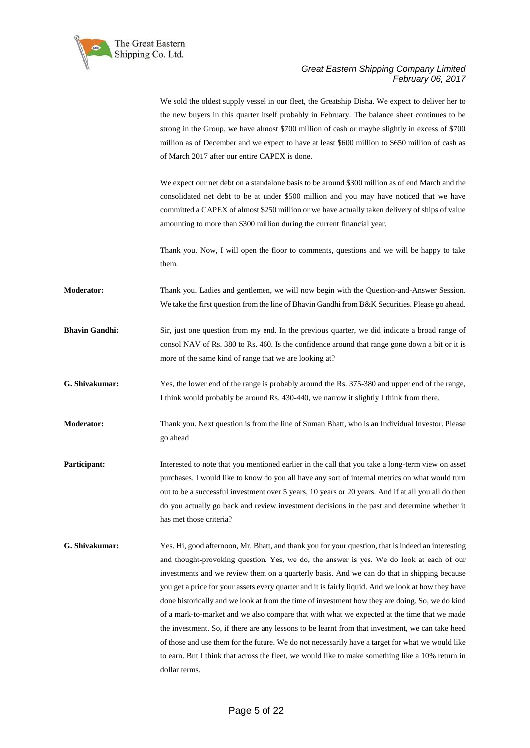

We sold the oldest supply vessel in our fleet, the Greatship Disha. We expect to deliver her to the new buyers in this quarter itself probably in February. The balance sheet continues to be strong in the Group, we have almost \$700 million of cash or maybe slightly in excess of \$700 million as of December and we expect to have at least \$600 million to \$650 million of cash as of March 2017 after our entire CAPEX is done.

We expect our net debt on a standalone basis to be around \$300 million as of end March and the consolidated net debt to be at under \$500 million and you may have noticed that we have committed a CAPEX of almost \$250 million or we have actually taken delivery of ships of value amounting to more than \$300 million during the current financial year.

Thank you. Now, I will open the floor to comments, questions and we will be happy to take them.

**Moderator:** Thank you. Ladies and gentlemen, we will now begin with the Question-and-Answer Session. We take the first question from the line of Bhavin Gandhi from B&K Securities. Please go ahead.

**Bhavin Gandhi:** Sir, just one question from my end. In the previous quarter, we did indicate a broad range of consol NAV of Rs. 380 to Rs. 460. Is the confidence around that range gone down a bit or it is more of the same kind of range that we are looking at?

**G. Shivakumar:** Yes, the lower end of the range is probably around the Rs. 375-380 and upper end of the range, I think would probably be around Rs. 430-440, we narrow it slightly I think from there.

**Moderator:** Thank you. Next question is from the line of Suman Bhatt, who is an Individual Investor. Please go ahead

**Participant:** Interested to note that you mentioned earlier in the call that you take a long-term view on asset purchases. I would like to know do you all have any sort of internal metrics on what would turn out to be a successful investment over 5 years, 10 years or 20 years. And if at all you all do then do you actually go back and review investment decisions in the past and determine whether it has met those criteria?

**G. Shivakumar:** Yes. Hi, good afternoon, Mr. Bhatt, and thank you for your question, that is indeed an interesting and thought-provoking question. Yes, we do, the answer is yes. We do look at each of our investments and we review them on a quarterly basis. And we can do that in shipping because you get a price for your assets every quarter and it is fairly liquid. And we look at how they have done historically and we look at from the time of investment how they are doing. So, we do kind of a mark-to-market and we also compare that with what we expected at the time that we made the investment. So, if there are any lessons to be learnt from that investment, we can take heed of those and use them for the future. We do not necessarily have a target for what we would like to earn. But I think that across the fleet, we would like to make something like a 10% return in dollar terms.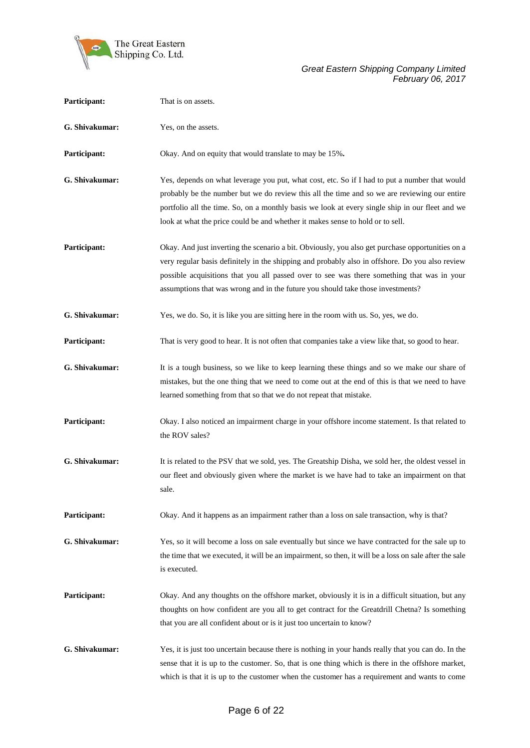

| Participant:   | That is on assets.                                                                                                                                                                                                                                                                                                                                                                   |
|----------------|--------------------------------------------------------------------------------------------------------------------------------------------------------------------------------------------------------------------------------------------------------------------------------------------------------------------------------------------------------------------------------------|
| G. Shivakumar: | Yes, on the assets.                                                                                                                                                                                                                                                                                                                                                                  |
| Participant:   | Okay. And on equity that would translate to may be 15%.                                                                                                                                                                                                                                                                                                                              |
| G. Shivakumar: | Yes, depends on what leverage you put, what cost, etc. So if I had to put a number that would<br>probably be the number but we do review this all the time and so we are reviewing our entire<br>portfolio all the time. So, on a monthly basis we look at every single ship in our fleet and we<br>look at what the price could be and whether it makes sense to hold or to sell.   |
| Participant:   | Okay. And just inverting the scenario a bit. Obviously, you also get purchase opportunities on a<br>very regular basis definitely in the shipping and probably also in offshore. Do you also review<br>possible acquisitions that you all passed over to see was there something that was in your<br>assumptions that was wrong and in the future you should take those investments? |
| G. Shivakumar: | Yes, we do. So, it is like you are sitting here in the room with us. So, yes, we do.                                                                                                                                                                                                                                                                                                 |
| Participant:   | That is very good to hear. It is not often that companies take a view like that, so good to hear.                                                                                                                                                                                                                                                                                    |
| G. Shivakumar: | It is a tough business, so we like to keep learning these things and so we make our share of<br>mistakes, but the one thing that we need to come out at the end of this is that we need to have<br>learned something from that so that we do not repeat that mistake.                                                                                                                |
| Participant:   | Okay. I also noticed an impairment charge in your offshore income statement. Is that related to<br>the ROV sales?                                                                                                                                                                                                                                                                    |
| G. Shivakumar: | It is related to the PSV that we sold, yes. The Greatship Disha, we sold her, the oldest vessel in<br>our fleet and obviously given where the market is we have had to take an impairment on that<br>sale.                                                                                                                                                                           |
| Participant:   | Okay. And it happens as an impairment rather than a loss on sale transaction, why is that?                                                                                                                                                                                                                                                                                           |
| G. Shivakumar: | Yes, so it will become a loss on sale eventually but since we have contracted for the sale up to<br>the time that we executed, it will be an impairment, so then, it will be a loss on sale after the sale<br>is executed.                                                                                                                                                           |
| Participant:   | Okay. And any thoughts on the offshore market, obviously it is in a difficult situation, but any<br>thoughts on how confident are you all to get contract for the Greatdrill Chetna? Is something<br>that you are all confident about or is it just too uncertain to know?                                                                                                           |
| G. Shivakumar: | Yes, it is just too uncertain because there is nothing in your hands really that you can do. In the<br>sense that it is up to the customer. So, that is one thing which is there in the offshore market,<br>which is that it is up to the customer when the customer has a requirement and wants to come                                                                             |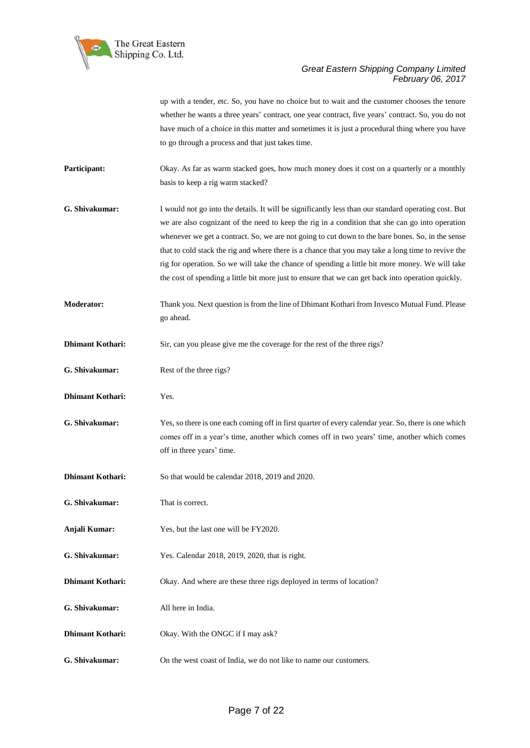

up with a tender, etc. So, you have no choice but to wait and the customer chooses the tenure whether he wants a three years' contract, one year contract, five years' contract. So, you do not have much of a choice in this matter and sometimes it is just a procedural thing where you have to go through a process and that just takes time.

**Participant:** Okay. As far as warm stacked goes, how much money does it cost on a quarterly or a monthly basis to keep a rig warm stacked?

- **G. Shivakumar:** I would not go into the details. It will be significantly less than our standard operating cost. But we are also cognizant of the need to keep the rig in a condition that she can go into operation whenever we get a contract. So, we are not going to cut down to the bare bones. So, in the sense that to cold stack the rig and where there is a chance that you may take a long time to revive the rig for operation. So we will take the chance of spending a little bit more money. We will take the cost of spending a little bit more just to ensure that we can get back into operation quickly.
- **Moderator:** Thank you. Next question is from the line of Dhimant Kothari from Invesco Mutual Fund. Please go ahead.
- **Dhimant Kothari:** Sir, can you please give me the coverage for the rest of the three rigs?
- **G. Shivakumar:** Rest of the three rigs?
- **Dhimant Kothari:** Yes.
- **G. Shivakumar:** Yes, so there is one each coming off in first quarter of every calendar year. So, there is one which comes off in a year's time, another which comes off in two years' time, another which comes off in three years' time.
- **Dhimant Kothari:** So that would be calendar 2018, 2019 and 2020.
- **G. Shivakumar:** That is correct.
- **Anjali Kumar:** Yes, but the last one will be FY2020.
- **G. Shivakumar:** Yes. Calendar 2018, 2019, 2020, that is right.
- **Dhimant Kothari:** Okay. And where are these three rigs deployed in terms of location?
- **G. Shivakumar:** All here in India.
- **Dhimant Kothari:** Okay. With the ONGC if I may ask?
- **G. Shivakumar:** On the west coast of India, we do not like to name our customers.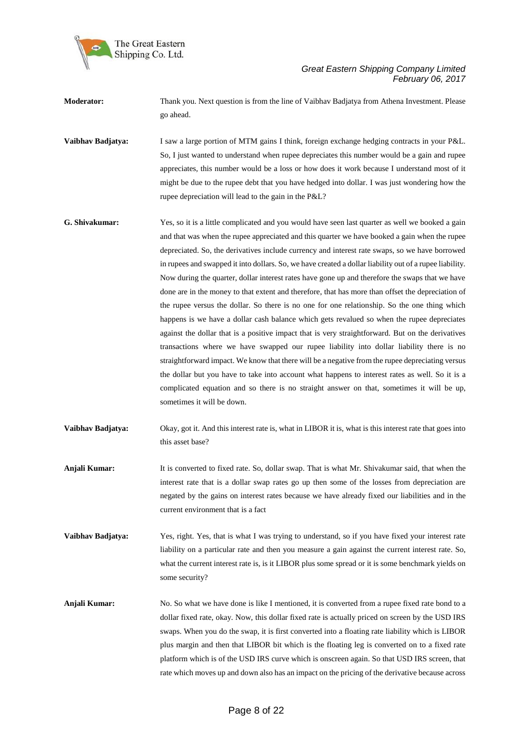

**Moderator:** Thank you. Next question is from the line of Vaibhav Badjatya from Athena Investment. Please go ahead.

**Vaibhav Badjatya:** I saw a large portion of MTM gains I think, foreign exchange hedging contracts in your P&L. So, I just wanted to understand when rupee depreciates this number would be a gain and rupee appreciates, this number would be a loss or how does it work because I understand most of it might be due to the rupee debt that you have hedged into dollar. I was just wondering how the rupee depreciation will lead to the gain in the P&L?

- **G. Shivakumar:** Yes, so it is a little complicated and you would have seen last quarter as well we booked a gain and that was when the rupee appreciated and this quarter we have booked a gain when the rupee depreciated. So, the derivatives include currency and interest rate swaps, so we have borrowed in rupees and swapped it into dollars. So, we have created a dollar liability out of a rupee liability. Now during the quarter, dollar interest rates have gone up and therefore the swaps that we have done are in the money to that extent and therefore, that has more than offset the depreciation of the rupee versus the dollar. So there is no one for one relationship. So the one thing which happens is we have a dollar cash balance which gets revalued so when the rupee depreciates against the dollar that is a positive impact that is very straightforward. But on the derivatives transactions where we have swapped our rupee liability into dollar liability there is no straightforward impact. We know that there will be a negative from the rupee depreciating versus the dollar but you have to take into account what happens to interest rates as well. So it is a complicated equation and so there is no straight answer on that, sometimes it will be up, sometimes it will be down.
- **Vaibhav Badjatya:** Okay, got it. And this interest rate is, what in LIBOR it is, what is this interest rate that goes into this asset base?
- **Anjali Kumar:** It is converted to fixed rate. So, dollar swap. That is what Mr. Shivakumar said, that when the interest rate that is a dollar swap rates go up then some of the losses from depreciation are negated by the gains on interest rates because we have already fixed our liabilities and in the current environment that is a fact
- **Vaibhav Badjatya:** Yes, right. Yes, that is what I was trying to understand, so if you have fixed your interest rate liability on a particular rate and then you measure a gain against the current interest rate. So, what the current interest rate is, is it LIBOR plus some spread or it is some benchmark yields on some security?
- **Anjali Kumar:** No. So what we have done is like I mentioned, it is converted from a rupee fixed rate bond to a dollar fixed rate, okay. Now, this dollar fixed rate is actually priced on screen by the USD IRS swaps. When you do the swap, it is first converted into a floating rate liability which is LIBOR plus margin and then that LIBOR bit which is the floating leg is converted on to a fixed rate platform which is of the USD IRS curve which is onscreen again. So that USD IRS screen, that rate which moves up and down also has an impact on the pricing of the derivative because across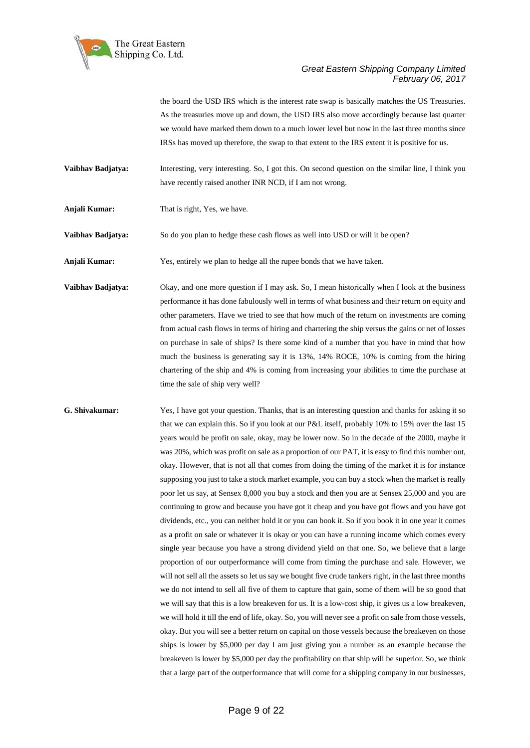

the board the USD IRS which is the interest rate swap is basically matches the US Treasuries. As the treasuries move up and down, the USD IRS also move accordingly because last quarter we would have marked them down to a much lower level but now in the last three months since IRSs has moved up therefore, the swap to that extent to the IRS extent it is positive for us.

**Vaibhav Badjatya:** Interesting, very interesting. So, I got this. On second question on the similar line, I think you have recently raised another INR NCD, if I am not wrong.

**Anjali Kumar:** That is right, Yes, we have.

**Vaibhav Badjatya:** So do you plan to hedge these cash flows as well into USD or will it be open?

**Anjali Kumar:** Yes, entirely we plan to hedge all the rupee bonds that we have taken.

**Vaibhav Badjatya:** Okay, and one more question if I may ask. So, I mean historically when I look at the business performance it has done fabulously well in terms of what business and their return on equity and other parameters. Have we tried to see that how much of the return on investments are coming from actual cash flows in terms of hiring and chartering the ship versus the gains or net of losses on purchase in sale of ships? Is there some kind of a number that you have in mind that how much the business is generating say it is 13%, 14% ROCE, 10% is coming from the hiring chartering of the ship and 4% is coming from increasing your abilities to time the purchase at time the sale of ship very well?

**G. Shivakumar:** Yes, I have got your question. Thanks, that is an interesting question and thanks for asking it so that we can explain this. So if you look at our P&L itself, probably 10% to 15% over the last 15 years would be profit on sale, okay, may be lower now. So in the decade of the 2000, maybe it was 20%, which was profit on sale as a proportion of our PAT, it is easy to find this number out, okay. However, that is not all that comes from doing the timing of the market it is for instance supposing you just to take a stock market example, you can buy a stock when the market is really poor let us say, at Sensex 8,000 you buy a stock and then you are at Sensex 25,000 and you are continuing to grow and because you have got it cheap and you have got flows and you have got dividends, etc., you can neither hold it or you can book it. So if you book it in one year it comes as a profit on sale or whatever it is okay or you can have a running income which comes every single year because you have a strong dividend yield on that one. So, we believe that a large proportion of our outperformance will come from timing the purchase and sale. However, we will not sell all the assets so let us say we bought five crude tankers right, in the last three months we do not intend to sell all five of them to capture that gain, some of them will be so good that we will say that this is a low breakeven for us. It is a low-cost ship, it gives us a low breakeven, we will hold it till the end of life, okay. So, you will never see a profit on sale from those vessels, okay. But you will see a better return on capital on those vessels because the breakeven on those ships is lower by \$5,000 per day I am just giving you a number as an example because the breakeven is lower by \$5,000 per day the profitability on that ship will be superior. So, we think that a large part of the outperformance that will come for a shipping company in our businesses,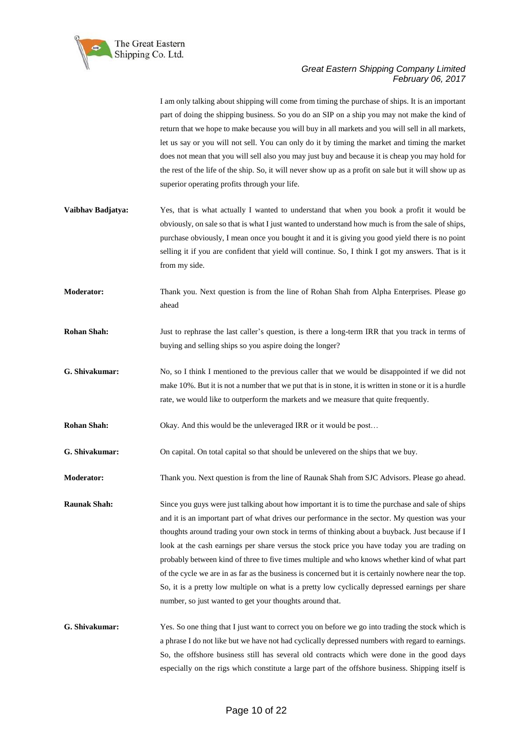

I am only talking about shipping will come from timing the purchase of ships. It is an important

part of doing the shipping business. So you do an SIP on a ship you may not make the kind of return that we hope to make because you will buy in all markets and you will sell in all markets, let us say or you will not sell. You can only do it by timing the market and timing the market does not mean that you will sell also you may just buy and because it is cheap you may hold for the rest of the life of the ship. So, it will never show up as a profit on sale but it will show up as superior operating profits through your life. **Vaibhav Badjatya:** Yes, that is what actually I wanted to understand that when you book a profit it would be obviously, on sale so that is what I just wanted to understand how much is from the sale of ships, purchase obviously, I mean once you bought it and it is giving you good yield there is no point selling it if you are confident that yield will continue. So, I think I got my answers. That is it from my side. **Moderator:** Thank you. Next question is from the line of Rohan Shah from Alpha Enterprises. Please go ahead **Rohan Shah:** Just to rephrase the last caller's question, is there a long-term IRR that you track in terms of buying and selling ships so you aspire doing the longer? **G. Shivakumar:** No, so I think I mentioned to the previous caller that we would be disappointed if we did not make 10%. But it is not a number that we put that is in stone, it is written in stone or it is a hurdle rate, we would like to outperform the markets and we measure that quite frequently. **Rohan Shah:** Okay. And this would be the unleveraged IRR or it would be post... **G. Shivakumar:** On capital. On total capital so that should be unlevered on the ships that we buy. **Moderator:** Thank you. Next question is from the line of Raunak Shah from SJC Advisors. Please go ahead. **Raunak Shah:** Since you guys were just talking about how important it is to time the purchase and sale of ships and it is an important part of what drives our performance in the sector. My question was your thoughts around trading your own stock in terms of thinking about a buyback. Just because if I look at the cash earnings per share versus the stock price you have today you are trading on probably between kind of three to five times multiple and who knows whether kind of what part of the cycle we are in as far as the business is concerned but it is certainly nowhere near the top. So, it is a pretty low multiple on what is a pretty low cyclically depressed earnings per share number, so just wanted to get your thoughts around that. **G. Shivakumar:** Yes. So one thing that I just want to correct you on before we go into trading the stock which is a phrase I do not like but we have not had cyclically depressed numbers with regard to earnings. So, the offshore business still has several old contracts which were done in the good days especially on the rigs which constitute a large part of the offshore business. Shipping itself is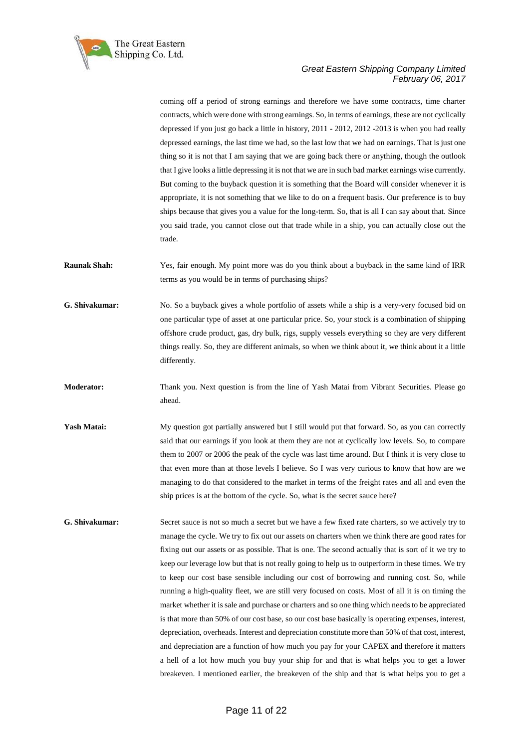

coming off a period of strong earnings and therefore we have some contracts, time charter contracts, which were done with strong earnings. So, in terms of earnings, these are not cyclically depressed if you just go back a little in history, 2011 - 2012, 2012 -2013 is when you had really depressed earnings, the last time we had, so the last low that we had on earnings. That is just one thing so it is not that I am saying that we are going back there or anything, though the outlook that I give looks a little depressing it is not that we are in such bad market earnings wise currently. But coming to the buyback question it is something that the Board will consider whenever it is appropriate, it is not something that we like to do on a frequent basis. Our preference is to buy ships because that gives you a value for the long-term. So, that is all I can say about that. Since you said trade, you cannot close out that trade while in a ship, you can actually close out the trade.

**Raunak Shah:** Yes, fair enough. My point more was do you think about a buyback in the same kind of IRR terms as you would be in terms of purchasing ships?

**G. Shivakumar:** No. So a buyback gives a whole portfolio of assets while a ship is a very-very focused bid on one particular type of asset at one particular price. So, your stock is a combination of shipping offshore crude product, gas, dry bulk, rigs, supply vessels everything so they are very different things really. So, they are different animals, so when we think about it, we think about it a little differently.

**Moderator:** Thank you. Next question is from the line of Yash Matai from Vibrant Securities. Please go ahead.

Yash Matai: My question got partially answered but I still would put that forward. So, as you can correctly said that our earnings if you look at them they are not at cyclically low levels. So, to compare them to 2007 or 2006 the peak of the cycle was last time around. But I think it is very close to that even more than at those levels I believe. So I was very curious to know that how are we managing to do that considered to the market in terms of the freight rates and all and even the ship prices is at the bottom of the cycle. So, what is the secret sauce here?

**G. Shivakumar:** Secret sauce is not so much a secret but we have a few fixed rate charters, so we actively try to manage the cycle. We try to fix out our assets on charters when we think there are good rates for fixing out our assets or as possible. That is one. The second actually that is sort of it we try to keep our leverage low but that is not really going to help us to outperform in these times. We try to keep our cost base sensible including our cost of borrowing and running cost. So, while running a high-quality fleet, we are still very focused on costs. Most of all it is on timing the market whether it is sale and purchase or charters and so one thing which needs to be appreciated is that more than 50% of our cost base, so our cost base basically is operating expenses, interest, depreciation, overheads. Interest and depreciation constitute more than 50% of that cost, interest, and depreciation are a function of how much you pay for your CAPEX and therefore it matters a hell of a lot how much you buy your ship for and that is what helps you to get a lower breakeven. I mentioned earlier, the breakeven of the ship and that is what helps you to get a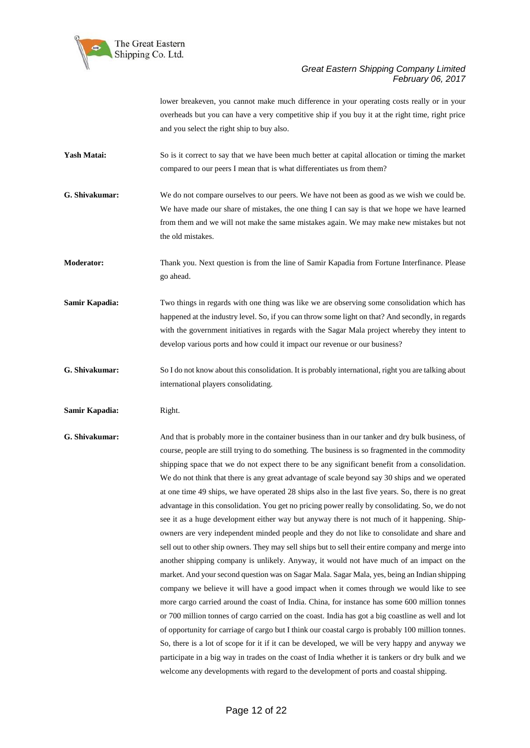

lower breakeven, you cannot make much difference in your operating costs really or in your overheads but you can have a very competitive ship if you buy it at the right time, right price and you select the right ship to buy also.

- Yash Matai: So is it correct to say that we have been much better at capital allocation or timing the market compared to our peers I mean that is what differentiates us from them?
- **G. Shivakumar:** We do not compare ourselves to our peers. We have not been as good as we wish we could be. We have made our share of mistakes, the one thing I can say is that we hope we have learned from them and we will not make the same mistakes again. We may make new mistakes but not the old mistakes.

**Moderator:** Thank you. Next question is from the line of Samir Kapadia from Fortune Interfinance. Please go ahead.

- **Samir Kapadia:** Two things in regards with one thing was like we are observing some consolidation which has happened at the industry level. So, if you can throw some light on that? And secondly, in regards with the government initiatives in regards with the Sagar Mala project whereby they intent to develop various ports and how could it impact our revenue or our business?
- **G. Shivakumar:** So I do not know about this consolidation. It is probably international, right you are talking about international players consolidating.
- **Samir Kapadia:** Right.
- **G. Shivakumar:** And that is probably more in the container business than in our tanker and dry bulk business, of course, people are still trying to do something. The business is so fragmented in the commodity shipping space that we do not expect there to be any significant benefit from a consolidation. We do not think that there is any great advantage of scale beyond say 30 ships and we operated at one time 49 ships, we have operated 28 ships also in the last five years. So, there is no great advantage in this consolidation. You get no pricing power really by consolidating. So, we do not see it as a huge development either way but anyway there is not much of it happening. Shipowners are very independent minded people and they do not like to consolidate and share and sell out to other ship owners. They may sell ships but to sell their entire company and merge into another shipping company is unlikely. Anyway, it would not have much of an impact on the market. And your second question was on Sagar Mala. Sagar Mala, yes, being an Indian shipping company we believe it will have a good impact when it comes through we would like to see more cargo carried around the coast of India. China, for instance has some 600 million tonnes or 700 million tonnes of cargo carried on the coast. India has got a big coastline as well and lot of opportunity for carriage of cargo but I think our coastal cargo is probably 100 million tonnes. So, there is a lot of scope for it if it can be developed, we will be very happy and anyway we participate in a big way in trades on the coast of India whether it is tankers or dry bulk and we welcome any developments with regard to the development of ports and coastal shipping.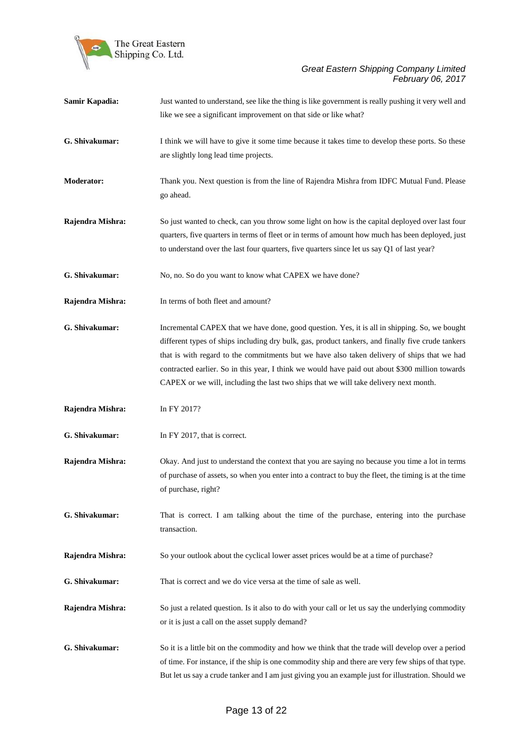

| Samir Kapadia:    | Just wanted to understand, see like the thing is like government is really pushing it very well and<br>like we see a significant improvement on that side or like what?                                                                                                                                                                                                                                                                                                                       |
|-------------------|-----------------------------------------------------------------------------------------------------------------------------------------------------------------------------------------------------------------------------------------------------------------------------------------------------------------------------------------------------------------------------------------------------------------------------------------------------------------------------------------------|
| G. Shivakumar:    | I think we will have to give it some time because it takes time to develop these ports. So these<br>are slightly long lead time projects.                                                                                                                                                                                                                                                                                                                                                     |
| <b>Moderator:</b> | Thank you. Next question is from the line of Rajendra Mishra from IDFC Mutual Fund. Please<br>go ahead.                                                                                                                                                                                                                                                                                                                                                                                       |
| Rajendra Mishra:  | So just wanted to check, can you throw some light on how is the capital deployed over last four<br>quarters, five quarters in terms of fleet or in terms of amount how much has been deployed, just<br>to understand over the last four quarters, five quarters since let us say Q1 of last year?                                                                                                                                                                                             |
| G. Shivakumar:    | No, no. So do you want to know what CAPEX we have done?                                                                                                                                                                                                                                                                                                                                                                                                                                       |
| Rajendra Mishra:  | In terms of both fleet and amount?                                                                                                                                                                                                                                                                                                                                                                                                                                                            |
| G. Shivakumar:    | Incremental CAPEX that we have done, good question. Yes, it is all in shipping. So, we bought<br>different types of ships including dry bulk, gas, product tankers, and finally five crude tankers<br>that is with regard to the commitments but we have also taken delivery of ships that we had<br>contracted earlier. So in this year, I think we would have paid out about \$300 million towards<br>CAPEX or we will, including the last two ships that we will take delivery next month. |
| Rajendra Mishra:  | In FY 2017?                                                                                                                                                                                                                                                                                                                                                                                                                                                                                   |
| G. Shivakumar:    | In FY 2017, that is correct.                                                                                                                                                                                                                                                                                                                                                                                                                                                                  |
| Rajendra Mishra:  | Okay. And just to understand the context that you are saying no because you time a lot in terms<br>of purchase of assets, so when you enter into a contract to buy the fleet, the timing is at the time<br>of purchase, right?                                                                                                                                                                                                                                                                |
| G. Shivakumar:    | That is correct. I am talking about the time of the purchase, entering into the purchase<br>transaction.                                                                                                                                                                                                                                                                                                                                                                                      |
| Rajendra Mishra:  | So your outlook about the cyclical lower asset prices would be at a time of purchase?                                                                                                                                                                                                                                                                                                                                                                                                         |
| G. Shivakumar:    | That is correct and we do vice versa at the time of sale as well.                                                                                                                                                                                                                                                                                                                                                                                                                             |
| Rajendra Mishra:  | So just a related question. Is it also to do with your call or let us say the underlying commodity<br>or it is just a call on the asset supply demand?                                                                                                                                                                                                                                                                                                                                        |
| G. Shivakumar:    | So it is a little bit on the commodity and how we think that the trade will develop over a period<br>of time. For instance, if the ship is one commodity ship and there are very few ships of that type.<br>But let us say a crude tanker and I am just giving you an example just for illustration. Should we                                                                                                                                                                                |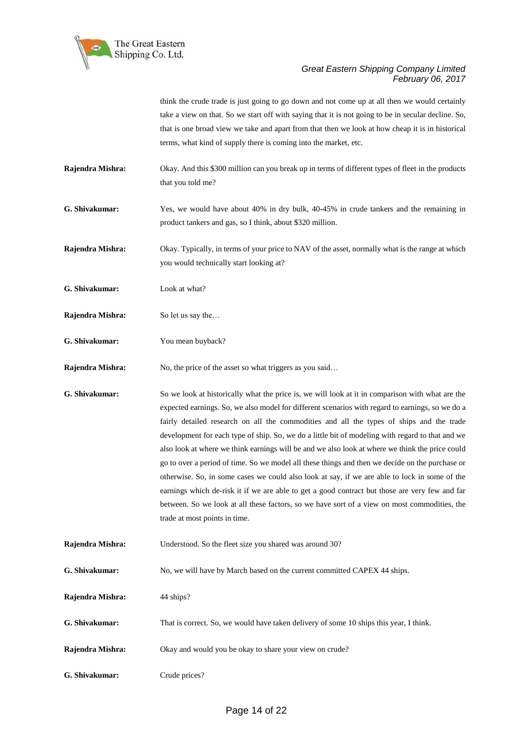

think the crude trade is just going to go down and not come up at all then we would certainly take a view on that. So we start off with saying that it is not going to be in secular decline. So, that is one broad view we take and apart from that then we look at how cheap it is in historical terms, what kind of supply there is coming into the market, etc.

- **Rajendra Mishra:** Okay. And this \$300 million can you break up in terms of different types of fleet in the products that you told me?
- **G. Shivakumar:** Yes, we would have about 40% in dry bulk, 40-45% in crude tankers and the remaining in product tankers and gas, so I think, about \$320 million.
- **Rajendra Mishra:** Okay. Typically, in terms of your price to NAV of the asset, normally what is the range at which you would technically start looking at?
- **G. Shivakumar:** Look at what?
- **Rajendra Mishra:** So let us say the...
- **G. Shivakumar:** You mean buyback?
- **Rajendra Mishra:** No, the price of the asset so what triggers as you said...
- **G. Shivakumar:** So we look at historically what the price is, we will look at it in comparison with what are the expected earnings. So, we also model for different scenarios with regard to earnings, so we do a fairly detailed research on all the commodities and all the types of ships and the trade development for each type of ship. So, we do a little bit of modeling with regard to that and we also look at where we think earnings will be and we also look at where we think the price could go to over a period of time. So we model all these things and then we decide on the purchase or otherwise. So, in some cases we could also look at say, if we are able to lock in some of the earnings which de-risk it if we are able to get a good contract but those are very few and far between. So we look at all these factors, so we have sort of a view on most commodities, the trade at most points in time.
- **Rajendra Mishra:** Understood. So the fleet size you shared was around 30?
- **G. Shivakumar:** No, we will have by March based on the current committed CAPEX 44 ships.
- **Rajendra Mishra:** 44 ships?
- **G. Shivakumar:** That is correct. So, we would have taken delivery of some 10 ships this year, I think.
- **Rajendra Mishra:** Okay and would you be okay to share your view on crude?
- **G. Shivakumar:** Crude prices?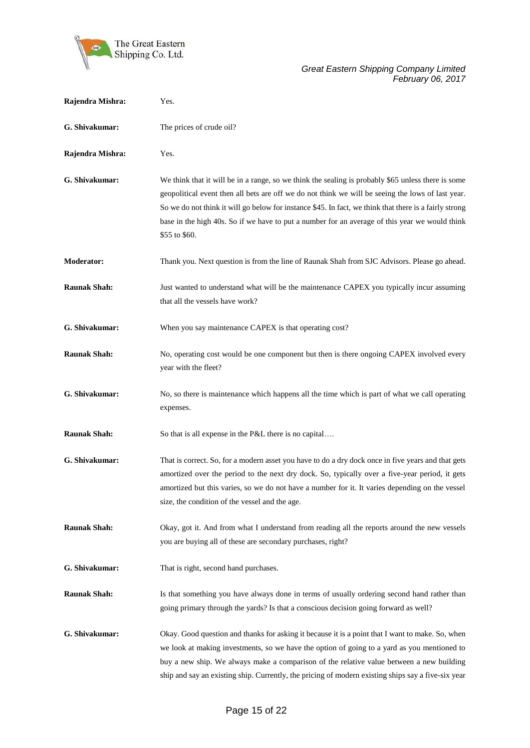

| Rajendra Mishra:    | Yes.                                                                                                                                                                                                                                                                                                                                                                                                                                 |
|---------------------|--------------------------------------------------------------------------------------------------------------------------------------------------------------------------------------------------------------------------------------------------------------------------------------------------------------------------------------------------------------------------------------------------------------------------------------|
| G. Shivakumar:      | The prices of crude oil?                                                                                                                                                                                                                                                                                                                                                                                                             |
| Rajendra Mishra:    | Yes.                                                                                                                                                                                                                                                                                                                                                                                                                                 |
| G. Shivakumar:      | We think that it will be in a range, so we think the sealing is probably \$65 unless there is some<br>geopolitical event then all bets are off we do not think we will be seeing the lows of last year.<br>So we do not think it will go below for instance \$45. In fact, we think that there is a fairly strong<br>base in the high 40s. So if we have to put a number for an average of this year we would think<br>\$55 to \$60. |
| <b>Moderator:</b>   | Thank you. Next question is from the line of Raunak Shah from SJC Advisors. Please go ahead.                                                                                                                                                                                                                                                                                                                                         |
| <b>Raunak Shah:</b> | Just wanted to understand what will be the maintenance CAPEX you typically incur assuming<br>that all the vessels have work?                                                                                                                                                                                                                                                                                                         |
| G. Shivakumar:      | When you say maintenance CAPEX is that operating cost?                                                                                                                                                                                                                                                                                                                                                                               |
| <b>Raunak Shah:</b> | No, operating cost would be one component but then is there ongoing CAPEX involved every<br>year with the fleet?                                                                                                                                                                                                                                                                                                                     |
| G. Shivakumar:      | No, so there is maintenance which happens all the time which is part of what we call operating<br>expenses.                                                                                                                                                                                                                                                                                                                          |
| <b>Raunak Shah:</b> | So that is all expense in the P&L there is no capital                                                                                                                                                                                                                                                                                                                                                                                |
| G. Shivakumar:      | That is correct. So, for a modern asset you have to do a dry dock once in five years and that gets<br>amortized over the period to the next dry dock. So, typically over a five-year period, it gets<br>amortized but this varies, so we do not have a number for it. It varies depending on the vessel<br>size, the condition of the vessel and the age.                                                                            |
| <b>Raunak Shah:</b> | Okay, got it. And from what I understand from reading all the reports around the new vessels<br>you are buying all of these are secondary purchases, right?                                                                                                                                                                                                                                                                          |
| G. Shivakumar:      | That is right, second hand purchases.                                                                                                                                                                                                                                                                                                                                                                                                |
| <b>Raunak Shah:</b> | Is that something you have always done in terms of usually ordering second hand rather than<br>going primary through the yards? Is that a conscious decision going forward as well?                                                                                                                                                                                                                                                  |
| G. Shivakumar:      | Okay. Good question and thanks for asking it because it is a point that I want to make. So, when<br>we look at making investments, so we have the option of going to a yard as you mentioned to<br>buy a new ship. We always make a comparison of the relative value between a new building<br>ship and say an existing ship. Currently, the pricing of modern existing ships say a five-six year                                    |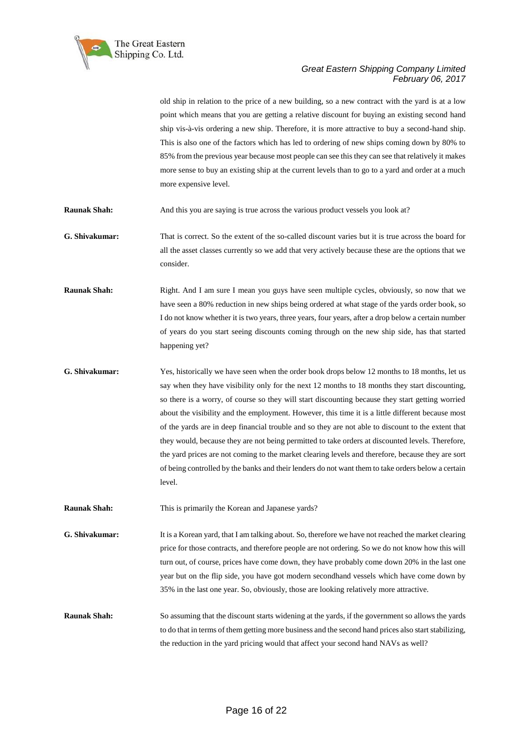

old ship in relation to the price of a new building, so a new contract with the yard is at a low point which means that you are getting a relative discount for buying an existing second hand ship vis-à-vis ordering a new ship. Therefore, it is more attractive to buy a second-hand ship. This is also one of the factors which has led to ordering of new ships coming down by 80% to 85% from the previous year because most people can see this they can see that relatively it makes more sense to buy an existing ship at the current levels than to go to a yard and order at a much more expensive level. **Raunak Shah:** And this you are saying is true across the various product vessels you look at? **G. Shivakumar:** That is correct. So the extent of the so-called discount varies but it is true across the board for all the asset classes currently so we add that very actively because these are the options that we consider. **Raunak Shah:** Right. And I am sure I mean you guys have seen multiple cycles, obviously, so now that we have seen a 80% reduction in new ships being ordered at what stage of the yards order book, so I do not know whether it is two years, three years, four years, after a drop below a certain number of years do you start seeing discounts coming through on the new ship side, has that started happening yet? **G. Shivakumar:** Yes, historically we have seen when the order book drops below 12 months to 18 months, let us say when they have visibility only for the next 12 months to 18 months they start discounting, so there is a worry, of course so they will start discounting because they start getting worried about the visibility and the employment. However, this time it is a little different because most of the yards are in deep financial trouble and so they are not able to discount to the extent that they would, because they are not being permitted to take orders at discounted levels. Therefore, the yard prices are not coming to the market clearing levels and therefore, because they are sort of being controlled by the banks and their lenders do not want them to take orders below a certain level. **Raunak Shah:** This is primarily the Korean and Japanese yards? **G. Shivakumar:** It is a Korean yard, that I am talking about. So, therefore we have not reached the market clearing price for those contracts, and therefore people are not ordering. So we do not know how this will turn out, of course, prices have come down, they have probably come down 20% in the last one year but on the flip side, you have got modern secondhand vessels which have come down by 35% in the last one year. So, obviously, those are looking relatively more attractive. **Raunak Shah:** So assuming that the discount starts widening at the yards, if the government so allows the yards to do that in terms of them getting more business and the second hand prices also start stabilizing, the reduction in the yard pricing would that affect your second hand NAVs as well?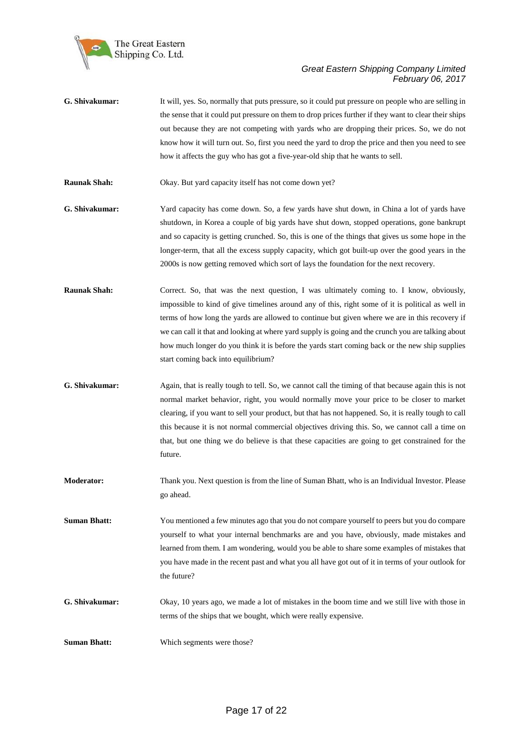

- **G. Shivakumar:** It will, yes. So, normally that puts pressure, so it could put pressure on people who are selling in the sense that it could put pressure on them to drop prices further if they want to clear their ships out because they are not competing with yards who are dropping their prices. So, we do not know how it will turn out. So, first you need the yard to drop the price and then you need to see how it affects the guy who has got a five-year-old ship that he wants to sell.
- **Raunak Shah:** Okay. But yard capacity itself has not come down yet?
- **G. Shivakumar:** Yard capacity has come down. So, a few yards have shut down, in China a lot of yards have shutdown, in Korea a couple of big yards have shut down, stopped operations, gone bankrupt and so capacity is getting crunched. So, this is one of the things that gives us some hope in the longer-term, that all the excess supply capacity, which got built-up over the good years in the 2000s is now getting removed which sort of lays the foundation for the next recovery.
- **Raunak Shah:** Correct. So, that was the next question, I was ultimately coming to. I know, obviously, impossible to kind of give timelines around any of this, right some of it is political as well in terms of how long the yards are allowed to continue but given where we are in this recovery if we can call it that and looking at where yard supply is going and the crunch you are talking about how much longer do you think it is before the yards start coming back or the new ship supplies start coming back into equilibrium?
- **G. Shivakumar:** Again, that is really tough to tell. So, we cannot call the timing of that because again this is not normal market behavior, right, you would normally move your price to be closer to market clearing, if you want to sell your product, but that has not happened. So, it is really tough to call this because it is not normal commercial objectives driving this. So, we cannot call a time on that, but one thing we do believe is that these capacities are going to get constrained for the future.
- **Moderator:** Thank you. Next question is from the line of Suman Bhatt, who is an Individual Investor. Please go ahead.
- **Suman Bhatt:** You mentioned a few minutes ago that you do not compare yourself to peers but you do compare yourself to what your internal benchmarks are and you have, obviously, made mistakes and learned from them. I am wondering, would you be able to share some examples of mistakes that you have made in the recent past and what you all have got out of it in terms of your outlook for the future?
- **G. Shivakumar:** Okay, 10 years ago, we made a lot of mistakes in the boom time and we still live with those in terms of the ships that we bought, which were really expensive.
- **Suman Bhatt:** Which segments were those?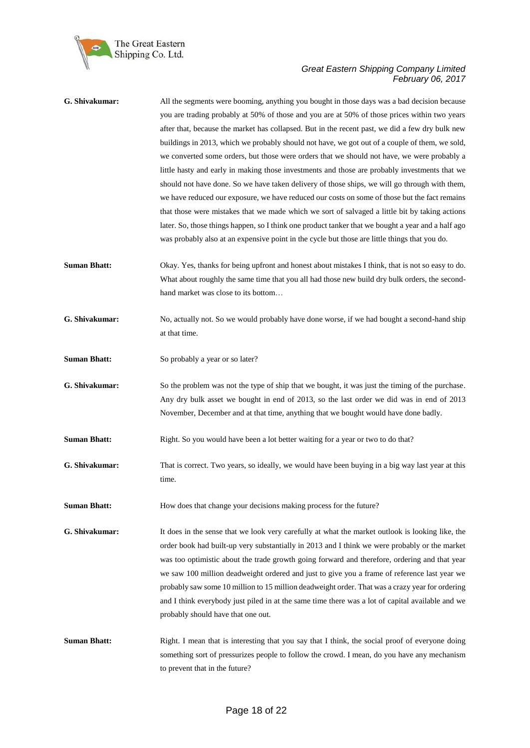

| G. Shivakumar:      | All the segments were booming, anything you bought in those days was a bad decision because<br>you are trading probably at 50% of those and you are at 50% of those prices within two years<br>after that, because the market has collapsed. But in the recent past, we did a few dry bulk new<br>buildings in 2013, which we probably should not have, we got out of a couple of them, we sold,<br>we converted some orders, but those were orders that we should not have, we were probably a<br>little hasty and early in making those investments and those are probably investments that we<br>should not have done. So we have taken delivery of those ships, we will go through with them,<br>we have reduced our exposure, we have reduced our costs on some of those but the fact remains<br>that those were mistakes that we made which we sort of salvaged a little bit by taking actions<br>later. So, those things happen, so I think one product tanker that we bought a year and a half ago<br>was probably also at an expensive point in the cycle but those are little things that you do. |
|---------------------|-------------------------------------------------------------------------------------------------------------------------------------------------------------------------------------------------------------------------------------------------------------------------------------------------------------------------------------------------------------------------------------------------------------------------------------------------------------------------------------------------------------------------------------------------------------------------------------------------------------------------------------------------------------------------------------------------------------------------------------------------------------------------------------------------------------------------------------------------------------------------------------------------------------------------------------------------------------------------------------------------------------------------------------------------------------------------------------------------------------|
| <b>Suman Bhatt:</b> | Okay. Yes, thanks for being upfront and honest about mistakes I think, that is not so easy to do.<br>What about roughly the same time that you all had those new build dry bulk orders, the second-<br>hand market was close to its bottom                                                                                                                                                                                                                                                                                                                                                                                                                                                                                                                                                                                                                                                                                                                                                                                                                                                                  |
| G. Shivakumar:      | No, actually not. So we would probably have done worse, if we had bought a second-hand ship<br>at that time.                                                                                                                                                                                                                                                                                                                                                                                                                                                                                                                                                                                                                                                                                                                                                                                                                                                                                                                                                                                                |
| <b>Suman Bhatt:</b> | So probably a year or so later?                                                                                                                                                                                                                                                                                                                                                                                                                                                                                                                                                                                                                                                                                                                                                                                                                                                                                                                                                                                                                                                                             |
| G. Shivakumar:      | So the problem was not the type of ship that we bought, it was just the timing of the purchase.<br>Any dry bulk asset we bought in end of 2013, so the last order we did was in end of 2013<br>November, December and at that time, anything that we bought would have done badly.                                                                                                                                                                                                                                                                                                                                                                                                                                                                                                                                                                                                                                                                                                                                                                                                                          |
| <b>Suman Bhatt:</b> | Right. So you would have been a lot better waiting for a year or two to do that?                                                                                                                                                                                                                                                                                                                                                                                                                                                                                                                                                                                                                                                                                                                                                                                                                                                                                                                                                                                                                            |
| G. Shivakumar:      | That is correct. Two years, so ideally, we would have been buying in a big way last year at this<br>time.                                                                                                                                                                                                                                                                                                                                                                                                                                                                                                                                                                                                                                                                                                                                                                                                                                                                                                                                                                                                   |
| <b>Suman Bhatt:</b> | How does that change your decisions making process for the future?                                                                                                                                                                                                                                                                                                                                                                                                                                                                                                                                                                                                                                                                                                                                                                                                                                                                                                                                                                                                                                          |
| G. Shivakumar:      | It does in the sense that we look very carefully at what the market outlook is looking like, the<br>order book had built-up very substantially in 2013 and I think we were probably or the market<br>was too optimistic about the trade growth going forward and therefore, ordering and that year<br>we saw 100 million deadweight ordered and just to give you a frame of reference last year we<br>probably saw some 10 million to 15 million deadweight order. That was a crazy year for ordering<br>and I think everybody just piled in at the same time there was a lot of capital available and we<br>probably should have that one out.                                                                                                                                                                                                                                                                                                                                                                                                                                                             |
| <b>Suman Bhatt:</b> | Right. I mean that is interesting that you say that I think, the social proof of everyone doing<br>something sort of pressurizes people to follow the crowd. I mean, do you have any mechanism<br>to prevent that in the future?                                                                                                                                                                                                                                                                                                                                                                                                                                                                                                                                                                                                                                                                                                                                                                                                                                                                            |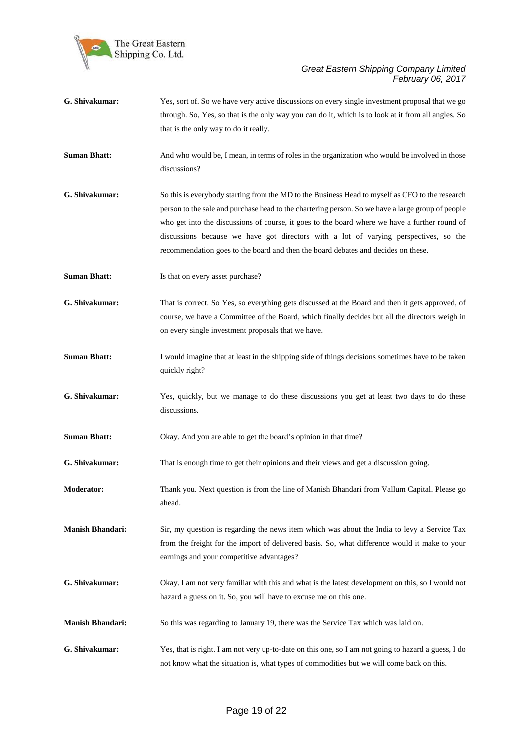

| G. Shivakumar:          | Yes, sort of. So we have very active discussions on every single investment proposal that we go<br>through. So, Yes, so that is the only way you can do it, which is to look at it from all angles. So<br>that is the only way to do it really.                                                                                                                                                                                                                                    |
|-------------------------|------------------------------------------------------------------------------------------------------------------------------------------------------------------------------------------------------------------------------------------------------------------------------------------------------------------------------------------------------------------------------------------------------------------------------------------------------------------------------------|
| <b>Suman Bhatt:</b>     | And who would be, I mean, in terms of roles in the organization who would be involved in those<br>discussions?                                                                                                                                                                                                                                                                                                                                                                     |
| G. Shivakumar:          | So this is everybody starting from the MD to the Business Head to myself as CFO to the research<br>person to the sale and purchase head to the chartering person. So we have a large group of people<br>who get into the discussions of course, it goes to the board where we have a further round of<br>discussions because we have got directors with a lot of varying perspectives, so the<br>recommendation goes to the board and then the board debates and decides on these. |
| <b>Suman Bhatt:</b>     | Is that on every asset purchase?                                                                                                                                                                                                                                                                                                                                                                                                                                                   |
| G. Shivakumar:          | That is correct. So Yes, so everything gets discussed at the Board and then it gets approved, of<br>course, we have a Committee of the Board, which finally decides but all the directors weigh in<br>on every single investment proposals that we have.                                                                                                                                                                                                                           |
| <b>Suman Bhatt:</b>     | I would imagine that at least in the shipping side of things decisions sometimes have to be taken<br>quickly right?                                                                                                                                                                                                                                                                                                                                                                |
| G. Shivakumar:          | Yes, quickly, but we manage to do these discussions you get at least two days to do these<br>discussions.                                                                                                                                                                                                                                                                                                                                                                          |
| <b>Suman Bhatt:</b>     | Okay. And you are able to get the board's opinion in that time?                                                                                                                                                                                                                                                                                                                                                                                                                    |
| G. Shivakumar:          | That is enough time to get their opinions and their views and get a discussion going.                                                                                                                                                                                                                                                                                                                                                                                              |
| <b>Moderator:</b>       | Thank you. Next question is from the line of Manish Bhandari from Vallum Capital. Please go<br>ahead.                                                                                                                                                                                                                                                                                                                                                                              |
| <b>Manish Bhandari:</b> | Sir, my question is regarding the news item which was about the India to levy a Service Tax<br>from the freight for the import of delivered basis. So, what difference would it make to your<br>earnings and your competitive advantages?                                                                                                                                                                                                                                          |
| G. Shivakumar:          | Okay. I am not very familiar with this and what is the latest development on this, so I would not<br>hazard a guess on it. So, you will have to excuse me on this one.                                                                                                                                                                                                                                                                                                             |
| <b>Manish Bhandari:</b> | So this was regarding to January 19, there was the Service Tax which was laid on.                                                                                                                                                                                                                                                                                                                                                                                                  |
| G. Shivakumar:          | Yes, that is right. I am not very up-to-date on this one, so I am not going to hazard a guess, I do<br>not know what the situation is, what types of commodities but we will come back on this.                                                                                                                                                                                                                                                                                    |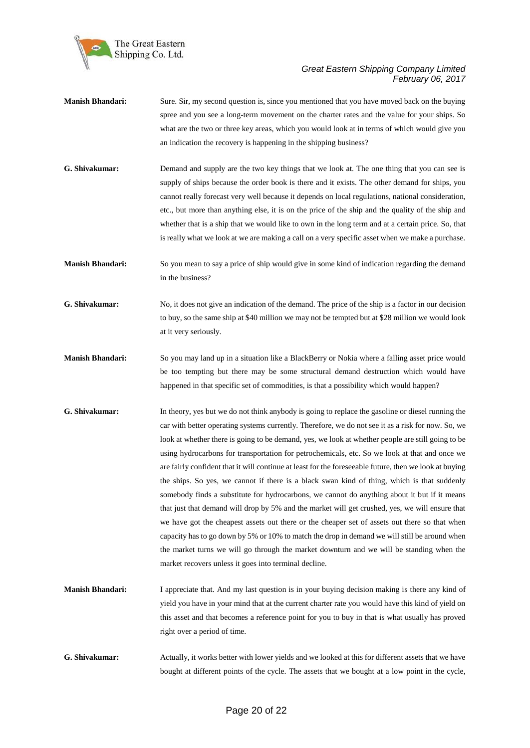

- **Manish Bhandari:** Sure. Sir, my second question is, since you mentioned that you have moved back on the buying spree and you see a long-term movement on the charter rates and the value for your ships. So what are the two or three key areas, which you would look at in terms of which would give you an indication the recovery is happening in the shipping business?
- **G. Shivakumar:** Demand and supply are the two key things that we look at. The one thing that you can see is supply of ships because the order book is there and it exists. The other demand for ships, you cannot really forecast very well because it depends on local regulations, national consideration, etc., but more than anything else, it is on the price of the ship and the quality of the ship and whether that is a ship that we would like to own in the long term and at a certain price. So, that is really what we look at we are making a call on a very specific asset when we make a purchase.
- **Manish Bhandari:** So you mean to say a price of ship would give in some kind of indication regarding the demand in the business?
- **G. Shivakumar:** No, it does not give an indication of the demand. The price of the ship is a factor in our decision to buy, so the same ship at \$40 million we may not be tempted but at \$28 million we would look at it very seriously.
- **Manish Bhandari:** So you may land up in a situation like a BlackBerry or Nokia where a falling asset price would be too tempting but there may be some structural demand destruction which would have happened in that specific set of commodities, is that a possibility which would happen?
- **G. Shivakumar:** In theory, yes but we do not think anybody is going to replace the gasoline or diesel running the car with better operating systems currently. Therefore, we do not see it as a risk for now. So, we look at whether there is going to be demand, yes, we look at whether people are still going to be using hydrocarbons for transportation for petrochemicals, etc. So we look at that and once we are fairly confident that it will continue at least for the foreseeable future, then we look at buying the ships. So yes, we cannot if there is a black swan kind of thing, which is that suddenly somebody finds a substitute for hydrocarbons, we cannot do anything about it but if it means that just that demand will drop by 5% and the market will get crushed, yes, we will ensure that we have got the cheapest assets out there or the cheaper set of assets out there so that when capacity has to go down by 5% or 10% to match the drop in demand we will still be around when the market turns we will go through the market downturn and we will be standing when the market recovers unless it goes into terminal decline.
- **Manish Bhandari:** I appreciate that. And my last question is in your buying decision making is there any kind of yield you have in your mind that at the current charter rate you would have this kind of yield on this asset and that becomes a reference point for you to buy in that is what usually has proved right over a period of time.
- **G. Shivakumar:** Actually, it works better with lower yields and we looked at this for different assets that we have bought at different points of the cycle. The assets that we bought at a low point in the cycle,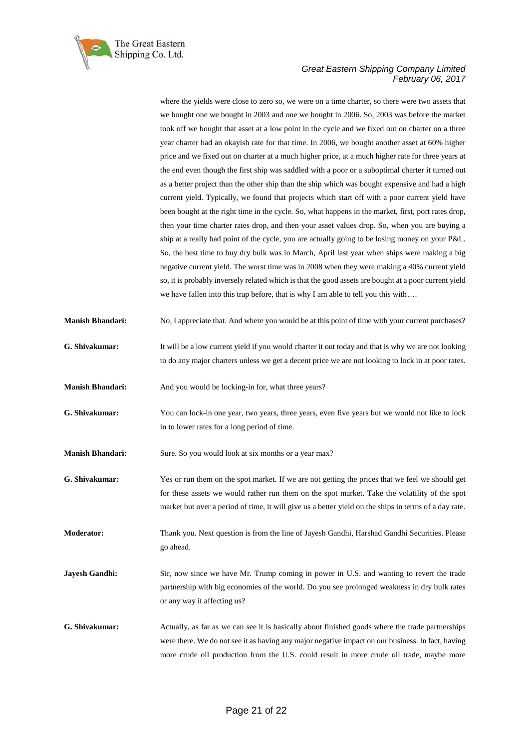

where the yields were close to zero so, we were on a time charter, so there were two assets that we bought one we bought in 2003 and one we bought in 2006. So, 2003 was before the market took off we bought that asset at a low point in the cycle and we fixed out on charter on a three year charter had an okayish rate for that time. In 2006, we bought another asset at 60% higher price and we fixed out on charter at a much higher price, at a much higher rate for three years at the end even though the first ship was saddled with a poor or a suboptimal charter it turned out as a better project than the other ship than the ship which was bought expensive and had a high current yield. Typically, we found that projects which start off with a poor current yield have been bought at the right time in the cycle. So, what happens in the market, first, port rates drop, then your time charter rates drop, and then your asset values drop. So, when you are buying a ship at a really bad point of the cycle, you are actually going to be losing money on your P&L. So, the best time to buy dry bulk was in March, April last year when ships were making a big negative current yield. The worst time was in 2008 when they were making a 40% current yield so, it is probably inversely related which is that the good assets are bought at a poor current yield we have fallen into this trap before, that is why I am able to tell you this with….

- **Manish Bhandari:** No, I appreciate that. And where you would be at this point of time with your current purchases?
- **G. Shivakumar:** It will be a low current yield if you would charter it out today and that is why we are not looking to do any major charters unless we get a decent price we are not looking to lock in at poor rates.
- **Manish Bhandari:** And you would be locking-in for, what three years?
- **G. Shivakumar:** You can lock-in one year, two years, three years, even five years but we would not like to lock in to lower rates for a long period of time.
- **Manish Bhandari:** Sure. So you would look at six months or a year max?
- **G. Shivakumar:** Yes or run them on the spot market. If we are not getting the prices that we feel we should get for these assets we would rather run them on the spot market. Take the volatility of the spot market but over a period of time, it will give us a better yield on the ships in terms of a day rate.
- **Moderator:** Thank you. Next question is from the line of Jayesh Gandhi, Harshad Gandhi Securities. Please go ahead.
- **Jayesh Gandhi:** Sir, now since we have Mr. Trump coming in power in U.S. and wanting to revert the trade partnership with big economies of the world. Do you see prolonged weakness in dry bulk rates or any way it affecting us?
- **G. Shivakumar:** Actually, as far as we can see it is basically about finished goods where the trade partnerships were there. We do not see it as having any major negative impact on our business. In fact, having more crude oil production from the U.S. could result in more crude oil trade, maybe more